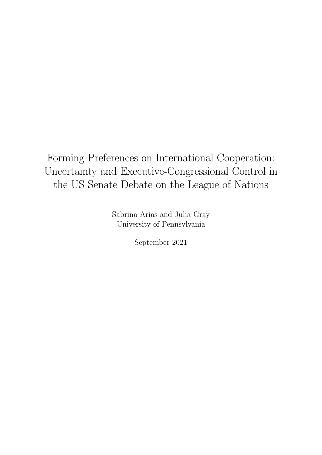Forming Preferences on International Cooperation: Uncertainty and Executive-Congressional Control in the US Senate Debate on the League of Nations

> Sabrina Arias and Julia Gray University of Pennsylvania

> > September 2021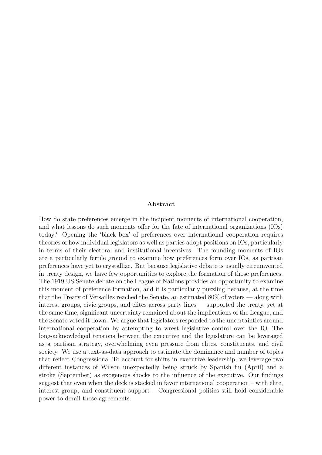#### Abstract

How do state preferences emerge in the incipient moments of international cooperation, and what lessons do such moments offer for the fate of international organizations (IOs) today? Opening the 'black box' of preferences over international cooperation requires theories of how individual legislators as well as parties adopt positions on IOs, particularly in terms of their electoral and institutional incentives. The founding moments of IOs are a particularly fertile ground to examine how preferences form over IOs, as partisan preferences have yet to crystallize. But because legislative debate is usually circumvented in treaty design, we have few opportunities to explore the formation of those preferences. The 1919 US Senate debate on the League of Nations provides an opportunity to examine this moment of preference formation, and it is particularly puzzling because, at the time that the Treaty of Versailles reached the Senate, an estimated 80% of voters — along with interest groups, civic groups, and elites across party lines — supported the treaty, yet at the same time, significant uncertainty remained about the implications of the League, and the Senate voted it down. We argue that legislators responded to the uncertainties around international cooperation by attempting to wrest legislative control over the IO. The long-acknowledged tensions between the executive and the legislature can be leveraged as a partisan strategy, overwhelming even pressure from elites, constituents, and civil society. We use a text-as-data approach to estimate the dominance and number of topics that reflect Congressional To account for shifts in executive leadership, we leverage two different instances of Wilson unexpectedly being struck by Spanish flu (April) and a stroke (September) as exogenous shocks to the influence of the executive. Our findings suggest that even when the deck is stacked in favor international cooperation – with elite, interest-group, and constituent support – Congressional politics still hold considerable power to derail these agreements.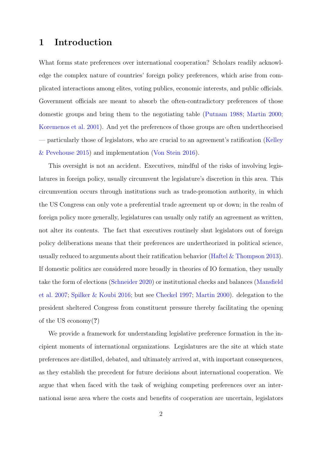## 1 Introduction

What forms state preferences over international cooperation? Scholars readily acknowledge the complex nature of countries' foreign policy preferences, which arise from complicated interactions among elites, voting publics, economic interests, and public officials. Government officials are meant to absorb the often-contradictory preferences of those domestic groups and bring them to the negotiating table [\(Putnam](#page-30-0) [1988;](#page-30-0) [Martin](#page-29-0) [2000;](#page-29-0) [Koremenos et al.](#page-28-0) [2001\)](#page-28-0). And yet the preferences of those groups are often undertheorised — particularly those of legislators, who are crucial to an agreement's ratification [\(Kelley](#page-28-1) [& Pevehouse](#page-28-1) [2015\)](#page-28-1) and implementation [\(Von Stein](#page-31-0) [2016\)](#page-31-0).

This oversight is not an accident. Executives, mindful of the risks of involving legislatures in foreign policy, usually circumvent the legislature's discretion in this area. This circumvention occurs through institutions such as trade-promotion authority, in which the US Congress can only vote a preferential trade agreement up or down; in the realm of foreign policy more generally, legislatures can usually only ratify an agreement as written, not alter its contents. The fact that executives routinely shut legislators out of foreign policy deliberations means that their preferences are undertheorized in political science, usually reduced to arguments about their ratification behavior (Haftel  $\&$  Thompson [2013\)](#page-27-0). If domestic politics are considered more broadly in theories of IO formation, they usually take the form of elections [\(Schneider](#page-30-1) [2020\)](#page-30-1) or institutional checks and balances [\(Mansfield](#page-29-1) [et al.](#page-29-1) [2007;](#page-29-1) [Spilker & Koubi](#page-31-1) [2016;](#page-31-1) but see [Checkel](#page-26-0) [1997;](#page-26-0) [Martin](#page-29-0) [2000\)](#page-29-0). delegation to the president sheltered Congress from constituent pressure thereby facilitating the opening of the US economy(?)

We provide a framework for understanding legislative preference formation in the incipient moments of international organizations. Legislatures are the site at which state preferences are distilled, debated, and ultimately arrived at, with important consequences, as they establish the precedent for future decisions about international cooperation. We argue that when faced with the task of weighing competing preferences over an international issue area where the costs and benefits of cooperation are uncertain, legislators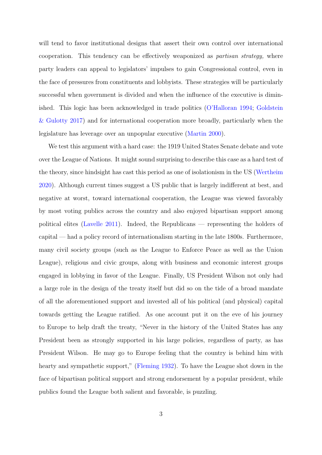will tend to favor institutional designs that assert their own control over international cooperation. This tendency can be effectively weaponized as partisan strategy, where party leaders can appeal to legislators' impulses to gain Congressional control, even in the face of pressures from constituents and lobbyists. These strategies will be particularly successful when government is divided and when the influence of the executive is diminished. This logic has been acknowledged in trade politics [\(O'Halloran](#page-29-2) [1994;](#page-29-2) [Goldstein](#page-26-1) [& Gulotty](#page-26-1) [2017\)](#page-26-1) and for international cooperation more broadly, particularly when the legislature has leverage over an unpopular executive [\(Martin](#page-29-0) [2000\)](#page-29-0).

We test this argument with a hard case: the 1919 United States Senate debate and vote over the League of Nations. It might sound surprising to describe this case as a hard test of the theory, since hindsight has cast this period as one of isolationism in the US [\(Wertheim](#page-31-2) [2020\)](#page-31-2). Although current times suggest a US public that is largely indifferent at best, and negative at worst, toward international cooperation, the League was viewed favorably by most voting publics across the country and also enjoyed bipartisan support among political elites [\(Lavelle](#page-28-2) [2011\)](#page-28-2). Indeed, the Republicans — representing the holders of capital — had a policy record of internationalism starting in the late 1800s. Furthermore, many civil society groups (such as the League to Enforce Peace as well as the Union League), religious and civic groups, along with business and economic interest groups engaged in lobbying in favor of the League. Finally, US President Wilson not only had a large role in the design of the treaty itself but did so on the tide of a broad mandate of all the aforementioned support and invested all of his political (and physical) capital towards getting the League ratified. As one account put it on the eve of his journey to Europe to help draft the treaty, "Never in the history of the United States has any President been as strongly supported in his large policies, regardless of party, as has President Wilson. He may go to Europe feeling that the country is behind him with hearty and sympathetic support," [\(Fleming](#page-26-2) [1932\)](#page-26-2). To have the League shot down in the face of bipartisan political support and strong endorsement by a popular president, while publics found the League both salient and favorable, is puzzling.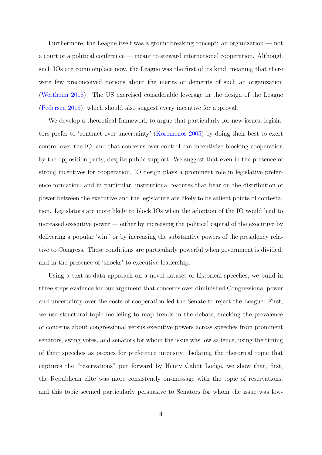Furthermore, the League itself was a groundbreaking concept: an organization — not a court or a political conference — meant to steward international cooperation. Although such IOs are commonplace now, the League was the first of its kind, meaning that there were few preconceived notions about the merits or demerits of such an organization [\(Wertheim](#page-31-3) [2018\)](#page-31-3). The US exercised considerable leverage in the design of the League [\(Pedersen](#page-30-2) [2015\)](#page-30-2), which should also suggest every incentive for approval.

We develop a theoretical framework to argue that particularly for new issues, legislators prefer to 'contract over uncertainty' [\(Koremenos](#page-28-3) [2005\)](#page-28-3) by doing their best to exert control over the IO, and that concerns over control can incentivize blocking cooperation by the opposition party, despite public support. We suggest that even in the presence of strong incentives for cooperation, IO design plays a prominent role in legislative preference formation, and in particular, institutional features that bear on the distribution of power between the executive and the legislature are likely to be salient points of contestation. Legislators are more likely to block IOs when the adoption of the IO would lead to increased executive power — either by increasing the political capital of the executive by delivering a popular 'win,' or by increasing the substantive powers of the presidency relative to Congress. These conditions are particularly powerful when government is divided, and in the presence of 'shocks' to executive leadership.

Using a text-as-data approach on a novel dataset of historical speeches, we build in three steps evidence for our argument that concerns over diminished Congressional power and uncertainty over the costs of cooperation led the Senate to reject the League. First, we use structural topic modeling to map trends in the debate, tracking the prevalence of concerns about congressional versus executive powers across speeches from prominent senators, swing votes, and senators for whom the issue was low salience, using the timing of their speeches as proxies for preference intensity. Isolating the rhetorical topic that captures the "reservations" put forward by Henry Cabot Lodge, we show that, first, the Republican elite was more consistently on-message with the topic of reservations, and this topic seemed particularly persuasive to Senators for whom the issue was low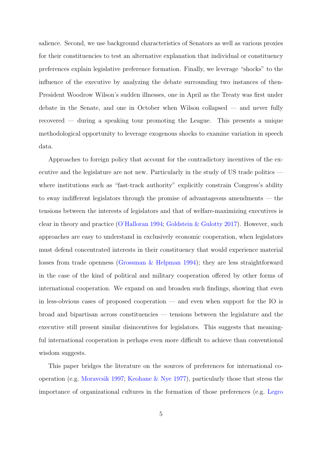salience. Second, we use background characteristics of Senators as well as various proxies for their constituencies to test an alternative explanation that individual or constituency preferences explain legislative preference formation. Finally, we leverage "shocks" to the influence of the executive by analyzing the debate surrounding two instances of then-President Woodrow Wilson's sudden illnesses, one in April as the Treaty was first under debate in the Senate, and one in October when Wilson collapsed — and never fully recovered — during a speaking tour promoting the League. This presents a unique methodological opportunity to leverage exogenous shocks to examine variation in speech data.

Approaches to foreign policy that account for the contradictory incentives of the executive and the legislature are not new. Particularly in the study of US trade politics where institutions such as "fast-track authority" explicitly constrain Congress's ability to sway indifferent legislators through the promise of advantageous amendments — the tensions between the interests of legislators and that of welfare-maximizing executives is clear in theory and practice [\(O'Halloran](#page-29-2) [1994;](#page-29-2) [Goldstein & Gulotty](#page-26-1) [2017\)](#page-26-1). However, such approaches are easy to understand in exclusively economic cooperation, when legislators must defend concentrated interests in their constituency that would experience material losses from trade openness [\(Grossman & Helpman](#page-27-1) [1994\)](#page-27-1); they are less straightforward in the case of the kind of political and military cooperation offered by other forms of international cooperation. We expand on and broaden such findings, showing that even in less-obvious cases of proposed cooperation — and even when support for the IO is broad and bipartisan across constituencies — tensions between the legislature and the executive still present similar disincentives for legislators. This suggests that meaningful international cooperation is perhaps even more difficult to achieve than conventional wisdom suggests.

This paper bridges the literature on the sources of preferences for international cooperation (e.g. [Moravcsik](#page-29-3) [1997;](#page-29-3) [Keohane & Nye](#page-28-4) [1977\)](#page-28-4), particularly those that stress the importance of organizational cultures in the formation of those preferences (e.g. [Legro](#page-28-5)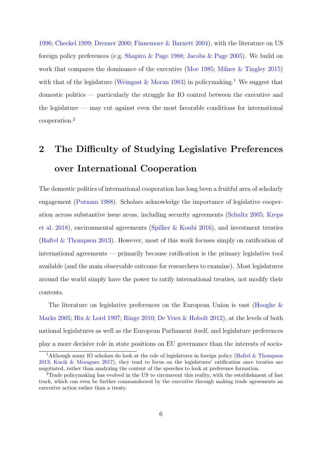[1996;](#page-28-5) [Checkel](#page-26-3) [1999;](#page-26-3) [Drezner](#page-26-4) [2000;](#page-26-4) [Finnemore & Barnett](#page-26-5) [2004\)](#page-26-5), with the literature on US foreign policy preferences (e.g. [Shapiro & Page](#page-30-3) [1988;](#page-30-3) [Jacobs & Page](#page-27-2) [2005\)](#page-27-2). We build on work that compares the dominance of the executive [\(Moe](#page-29-4) [1985;](#page-29-4) [Milner & Tingley](#page-29-5) [2015\)](#page-29-5) with that of the legislature (Weingast  $& Moran 1983$  $& Moran 1983$  $& Moran 1983$ ) in policymaking.<sup>1</sup> We suggest that domestic politics — particularly the struggle for IO control between the executive and the legislature — may cut against even the most favorable conditions for international cooperation.[2](#page-6-1)

# 2 The Difficulty of Studying Legislative Preferences over International Cooperation

The domestic politics of international cooperation has long been a fruitful area of scholarly engagement [\(Putnam](#page-30-0) [1988\)](#page-30-0). Scholars acknowledge the importance of legislative cooperation across substantive issue areas, including security agreements [\(Schultz](#page-30-4) [2005;](#page-30-4) [Kreps](#page-28-6) [et al.](#page-28-6) [2018\)](#page-28-6), environmental agreements [\(Spilker & Koubi](#page-31-1) [2016\)](#page-31-1), and investment treaties [\(Haftel & Thompson](#page-27-0) [2013\)](#page-27-0). However, most of this work focuses simply on ratification of international agreements — primarily because ratification is the primary legislative tool available (and the main observable outcome for researchers to examine). Most legislatures around the world simply have the power to ratify international treaties, not modify their contents.

The literature on legislative preferences on the European Union is vast [\(Hooghe &](#page-27-3) [Marks](#page-27-3) [2005;](#page-27-3) [Hix & Lord](#page-27-4) [1997;](#page-27-4) [Ringe](#page-30-5) [2010;](#page-30-5) [De Vries & Hobolt](#page-26-6) [2012\)](#page-26-6), at the levels of both national legislatures as well as the European Parliament itself, and legislature preferences play a more decisive role in state positions on EU governance than the interests of socio-

<span id="page-6-0"></span><sup>&</sup>lt;sup>1</sup>Although many IO scholars do look at the role of legislatures in foreign policy [\(Haftel & Thompson](#page-27-0) [2013;](#page-27-0) [Kucik & Moraguez](#page-28-7) [2017\)](#page-28-7), they tend to focus on the legislatures' ratification once treaties are negotiated, rather than analyzing the content of the speeches to look at preference formation.

<span id="page-6-1"></span><sup>&</sup>lt;sup>2</sup>Trade policymaking has evolved in the US to circumvent this reality, with the establishment of fast track, which can even be further commandeered by the executive through making trade agreements an executive action rather than a treaty.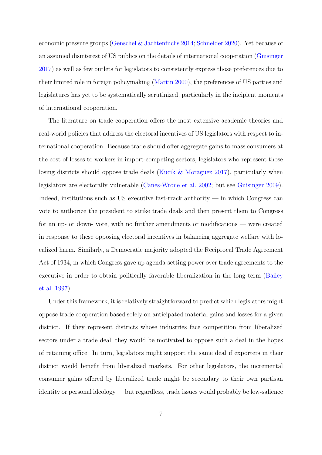economic pressure groups [\(Genschel & Jachtenfuchs](#page-26-7) [2014;](#page-26-7) [Schneider](#page-30-1) [2020\)](#page-30-1). Yet because of an assumed disinterest of US publics on the details of international cooperation [\(Guisinger](#page-27-5) [2017\)](#page-27-5) as well as few outlets for legislators to consistently express those preferences due to their limited role in foreign policymaking [\(Martin](#page-29-0) [2000\)](#page-29-0), the preferences of US parties and legislatures has yet to be systematically scrutinized, particularly in the incipient moments of international cooperation.

The literature on trade cooperation offers the most extensive academic theories and real-world policies that address the electoral incentives of US legislators with respect to international cooperation. Because trade should offer aggregate gains to mass consumers at the cost of losses to workers in import-competing sectors, legislators who represent those losing districts should oppose trade deals [\(Kucik & Moraguez](#page-28-7) [2017\)](#page-28-7), particularly when legislators are electorally vulnerable [\(Canes-Wrone et al.](#page-25-0) [2002;](#page-25-0) but see [Guisinger](#page-27-6) [2009\)](#page-27-6). Indeed, institutions such as US executive fast-track authority  $-$  in which Congress can vote to authorize the president to strike trade deals and then present them to Congress for an up- or down- vote, with no further amendments or modifications — were created in response to these opposing electoral incentives in balancing aggregate welfare with localized harm. Similarly, a Democratic majority adopted the Reciprocal Trade Agreement Act of 1934, in which Congress gave up agenda-setting power over trade agreements to the executive in order to obtain politically favorable liberalization in the long term [\(Bailey](#page-25-1) [et al.](#page-25-1) [1997\)](#page-25-1).

Under this framework, it is relatively straightforward to predict which legislators might oppose trade cooperation based solely on anticipated material gains and losses for a given district. If they represent districts whose industries face competition from liberalized sectors under a trade deal, they would be motivated to oppose such a deal in the hopes of retaining office. In turn, legislators might support the same deal if exporters in their district would benefit from liberalized markets. For other legislators, the incremental consumer gains offered by liberalized trade might be secondary to their own partisan identity or personal ideology — but regardless, trade issues would probably be low-salience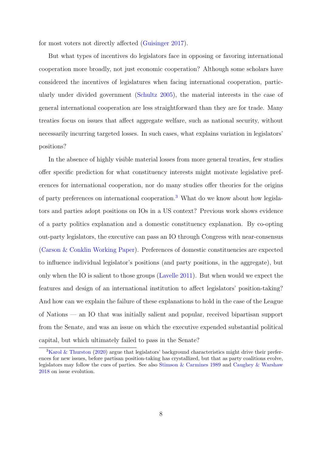for most voters not directly affected [\(Guisinger](#page-27-5) [2017\)](#page-27-5).

But what types of incentives do legislators face in opposing or favoring international cooperation more broadly, not just economic cooperation? Although some scholars have considered the incentives of legislatures when facing international cooperation, particularly under divided government [\(Schultz](#page-30-4) [2005\)](#page-30-4), the material interests in the case of general international cooperation are less straightforward than they are for trade. Many treaties focus on issues that affect aggregate welfare, such as national security, without necessarily incurring targeted losses. In such cases, what explains variation in legislators' positions?

In the absence of highly visible material losses from more general treaties, few studies offer specific prediction for what constituency interests might motivate legislative preferences for international cooperation, nor do many studies offer theories for the origins of party preferences on international cooperation.[3](#page-8-0) What do we know about how legislators and parties adopt positions on IOs in a US context? Previous work shows evidence of a party politics explanation and a domestic constituency explanation. By co-opting out-party legislators, the executive can pass an IO through Congress with near-consensus [\(Carson & Conklin](#page-25-2) [Working Paper\)](#page-25-2). Preferences of domestic constituencies are expected to influence individual legislator's positions (and party positions, in the aggregate), but only when the IO is salient to those groups [\(Lavelle](#page-28-2) [2011\)](#page-28-2). But when would we expect the features and design of an international institution to affect legislators' position-taking? And how can we explain the failure of these explanations to hold in the case of the League of Nations — an IO that was initially salient and popular, received bipartisan support from the Senate, and was an issue on which the executive expended substantial political capital, but which ultimately failed to pass in the Senate?

<span id="page-8-0"></span><sup>&</sup>lt;sup>3</sup>[Karol & Thurston](#page-28-8) [\(2020\)](#page-28-8) argue that legislators' background characteristics might drive their preferences for new issues, before partisan position-taking has crystallized, but that as party coalitions evolve, legislators may follow the cues of parties. See also [Stimson & Carmines](#page-31-5) [1989](#page-31-5) and [Caughey & Warshaw](#page-25-3) [2018](#page-25-3) on issue evolution.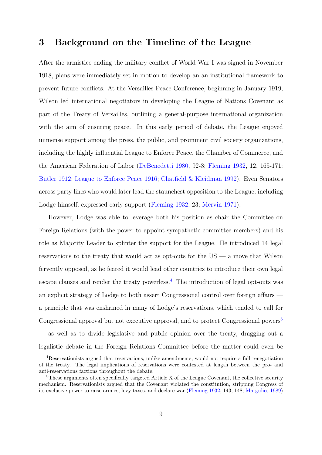## <span id="page-9-2"></span>3 Background on the Timeline of the League

After the armistice ending the military conflict of World War I was signed in November 1918, plans were immediately set in motion to develop an an institutional framework to prevent future conflicts. At the Versailles Peace Conference, beginning in January 1919, Wilson led international negotiators in developing the League of Nations Covenant as part of the Treaty of Versailles, outlining a general-purpose international organization with the aim of ensuring peace. In this early period of debate, the League enjoyed immense support among the press, the public, and prominent civil society organizations, including the highly influential League to Enforce Peace, the Chamber of Commerce, and the American Federation of Labor [\(DeBenedetti](#page-26-8) [1980,](#page-26-8) 92-3; [Fleming](#page-26-2) [1932,](#page-26-2) 12, 165-171; [Butler](#page-25-4) [1912;](#page-25-4) [League to Enforce Peace](#page-28-9) [1916;](#page-28-9) [Chatfield & Kleidman](#page-25-5) [1992\)](#page-25-5). Even Senators across party lines who would later lead the staunchest opposition to the League, including Lodge himself, expressed early support [\(Fleming](#page-26-2) [1932,](#page-26-2) 23; [Mervin](#page-29-6) [1971\)](#page-29-6).

However, Lodge was able to leverage both his position as chair the Committee on Foreign Relations (with the power to appoint sympathetic committee members) and his role as Majority Leader to splinter the support for the League. He introduced 14 legal reservations to the treaty that would act as opt-outs for the  $US - a$  move that Wilson fervently opposed, as he feared it would lead other countries to introduce their own legal escape clauses and render the treaty powerless.[4](#page-9-0) The introduction of legal opt-outs was an explicit strategy of Lodge to both assert Congressional control over foreign affairs a principle that was enshrined in many of Lodge's reservations, which tended to call for Congressional approval but not executive approval, and to protect Congressional powers<sup>[5](#page-9-1)</sup> — as well as to divide legislative and public opinion over the treaty, dragging out a legalistic debate in the Foreign Relations Committee before the matter could even be

<span id="page-9-0"></span><sup>4</sup>Reservationists argued that reservations, unlike amendments, would not require a full renegotiation of the treaty. The legal implications of reservations were contested at length between the pro- and anti-reservations factions throughout the debate.

<span id="page-9-1"></span><sup>&</sup>lt;sup>5</sup>These arguments often specifically targeted Article X of the League Covenant, the collective security mechanism. Reservationists argued that the Covenant violated the constitution, stripping Congress of its exclusive power to raise armies, levy taxes, and declare war [\(Fleming](#page-26-2) [1932,](#page-26-2) 143, 148; [Margulies](#page-29-7) [1989\)](#page-29-7)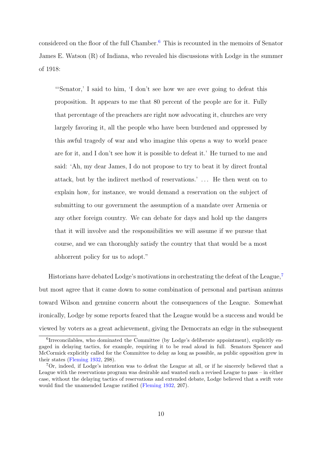considered on the floor of the full Chamber.[6](#page-10-0) This is recounted in the memoirs of Senator James E. Watson (R) of Indiana, who revealed his discussions with Lodge in the summer of 1918:

"'Senator,' I said to him, 'I don't see how we are ever going to defeat this proposition. It appears to me that 80 percent of the people are for it. Fully that percentage of the preachers are right now advocating it, churches are very largely favoring it, all the people who have been burdened and oppressed by this awful tragedy of war and who imagine this opens a way to world peace are for it, and I don't see how it is possible to defeat it.' He turned to me and said: 'Ah, my dear James, I do not propose to try to beat it by direct frontal attack, but by the indirect method of reservations.'... He then went on to explain how, for instance, we would demand a reservation on the subject of submitting to our government the assumption of a mandate over Armenia or any other foreign country. We can debate for days and hold up the dangers that it will involve and the responsibilities we will assume if we pursue that course, and we can thoroughly satisfy the country that that would be a most abhorrent policy for us to adopt."

Historians have debated Lodge's motivations in orchestrating the defeat of the League, $\tau$ but most agree that it came down to some combination of personal and partisan animus toward Wilson and genuine concern about the consequences of the League. Somewhat ironically, Lodge by some reports feared that the League would be a success and would be viewed by voters as a great achievement, giving the Democrats an edge in the subsequent

<span id="page-10-0"></span><sup>&</sup>lt;sup>6</sup>Irreconcilables, who dominated the Committee (by Lodge's deliberate appointment), explicitly engaged in delaying tactics, for example, requiring it to be read aloud in full. Senators Spencer and McCormick explicitly called for the Committee to delay as long as possible, as public opposition grew in their states [\(Fleming](#page-26-2) [1932,](#page-26-2) 298).

<span id="page-10-1"></span><sup>7</sup>Or, indeed, if Lodge's intention was to defeat the League at all, or if he sincerely believed that a League with the reservations program was desirable and wanted such a revised League to pass – in either case, without the delaying tactics of reservations and extended debate, Lodge believed that a swift vote would find the unamended League ratified [\(Fleming](#page-26-2) [1932,](#page-26-2) 207).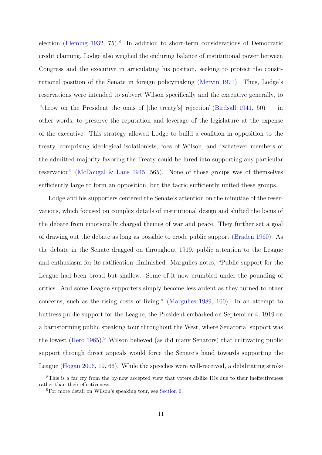election [\(Fleming](#page-26-2) [1932,](#page-26-2) 75).<sup>[8](#page-11-0)</sup> In addition to short-term considerations of Democratic credit claiming, Lodge also weighed the enduring balance of institutional power between Congress and the executive in articulating his position, seeking to protect the constitutional position of the Senate in foreign policymaking [\(Mervin](#page-29-6) [1971\)](#page-29-6). Thus, Lodge's reservations were intended to subvert Wilson specifically and the executive generally, to "throw on the President the onus of [the treaty's] rejection" [\(Birdsall](#page-25-6) [1941,](#page-25-6) 50) — in other words, to preserve the reputation and leverage of the legislature at the expense of the executive. This strategy allowed Lodge to build a coalition in opposition to the treaty, comprising ideological isolationists, foes of Wilson, and "whatever members of the admitted majority favoring the Treaty could be lured into supporting any particular reservation" [\(McDougal & Lans](#page-29-8) [1945,](#page-29-8) 565). None of those groups was of themselves sufficiently large to form an opposition, but the tactic sufficiently united these groups.

Lodge and his supporters centered the Senate's attention on the minutiae of the reservations, which focused on complex details of institutional design and shifted the locus of the debate from emotionally charged themes of war and peace. They further set a goal of drawing out the debate as long as possible to erode public support [\(Braden](#page-25-7) [1960\)](#page-25-7). As the debate in the Senate dragged on throughout 1919, public attention to the League and enthusiasm for its ratification diminished. Margulies notes, "Public support for the League had been broad but shallow. Some of it now crumbled under the pounding of critics. And some League supporters simply become less ardent as they turned to other concerns, such as the rising costs of living," [\(Margulies](#page-29-7) [1989,](#page-29-7) 100). In an attempt to buttress public support for the League, the President embarked on September 4, 1919 on a barnstorming public speaking tour throughout the West, where Senatorial support was the lowest [\(Hero](#page-27-7) [1965\)](#page-27-7).<sup>[9](#page-11-1)</sup> Wilson believed (as did many Senators) that cultivating public support through direct appeals would force the Senate's hand towards supporting the League [\(Hogan](#page-27-8) [2006,](#page-27-8) 19, 66). While the speeches were well-received, a debilitating stroke

<span id="page-11-0"></span><sup>8</sup>This is a far cry from the by-now accepted view that voters dislike IOs due to their ineffectiveness rather than their effectiveness.

<span id="page-11-1"></span><sup>&</sup>lt;sup>9</sup>For more detail on Wilson's speaking tour, see [Section 6.](#page-18-0)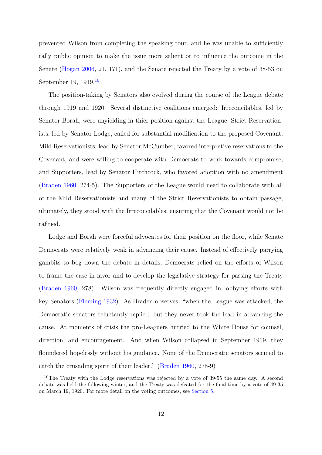prevented Wilson from completing the speaking tour, and he was unable to sufficiently rally public opinion to make the issue more salient or to influence the outcome in the Senate [\(Hogan](#page-27-8) [2006,](#page-27-8) 21, 171), and the Senate rejected the Treaty by a vote of 38-53 on September 19, 1919.<sup>[10](#page-12-0)</sup>

The position-taking by Senators also evolved during the course of the League debate through 1919 and 1920. Several distinctive coalitions emerged: Irreconcilables, led by Senator Borah, were unyielding in thier position against the League; Strict Reservationists, led by Senator Lodge, called for substantial modification to the proposed Covenant; Mild Reservationists, lead by Senator McCumber, favored interpretive reservations to the Covenant, and were willing to cooperate with Democrats to work towards compromise; and Supporters, lead by Senator Hitchcock, who favored adoption with no amendment [\(Braden](#page-25-7) [1960,](#page-25-7) 274-5). The Supporters of the League would need to collaborate with all of the Mild Reservationists and many of the Strict Reservationists to obtain passage; ultimately, they stood with the Irreconcilables, ensuring that the Covenant would not be rafitied.

Lodge and Borah were forceful advocates for their position on the floor, while Senate Democrats were relatively weak in advancing their cause. Instead of effectively parrying gambits to bog down the debate in details, Democrats relied on the efforts of Wilson to frame the case in favor and to develop the legislative strategy for passing the Treaty [\(Braden](#page-25-7) [1960,](#page-25-7) 278). Wilson was frequently directly engaged in lobbying efforts with key Senators [\(Fleming](#page-26-2) [1932\)](#page-26-2). As Braden observes, "when the League was attacked, the Democratic senators reluctantly replied, but they never took the lead in advancing the cause. At moments of crisis the pro-Leaguers hurried to the White House for counsel, direction, and encouragement. And when Wilson collapsed in September 1919, they floundered hopelessly without his guidance. None of the Democratic senators seemed to catch the crusading spirit of their leader." [\(Braden](#page-25-7) [1960,](#page-25-7) 278-9)

<span id="page-12-0"></span><sup>&</sup>lt;sup>10</sup>The Treaty with the Lodge reservations was rejected by a vote of  $39-55$  the same day. A second debate was held the following winter, and the Treaty was defeated for the final time by a vote of 49-35 on March 19, 1920. For more detail on the voting outcomes, see [Section 5.](#page-16-0)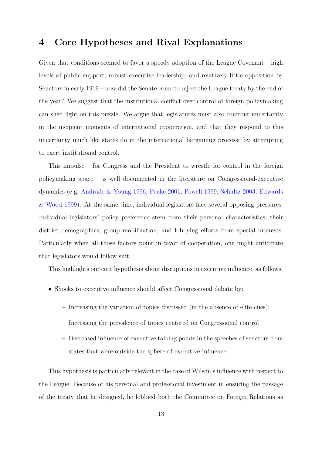## 4 Core Hypotheses and Rival Explanations

Given that conditions seemed to favor a speedy adoption of the League Covenant – high levels of public support, robust executive leadership, and relatively little opposition by Senators in early 1919 – how did the Senate come to reject the League treaty by the end of the year? We suggest that the institutional conflict over control of foreign policymaking can shed light on this puzzle. We argue that legislatures must also confront uncertainty in the incipient moments of international cooperation, and that they respond to this uncertainty much like states do in the international bargaining process: by attempting to exert institutional control.

This impulse – for Congress and the President to wrestle for control in the foreign policymaking space – is well documented in the literature on Congressional-executive dynamics (e.g. [Andrade & Young](#page-25-8) [1996;](#page-25-8) [Peake](#page-30-6) [2001;](#page-30-6) [Powell](#page-30-7) [1999;](#page-30-7) [Schultz](#page-30-8) [2003;](#page-30-8) [Edwards](#page-26-9) [& Wood](#page-26-9) [1999\)](#page-26-9). At the same time, individual legislators face several opposing pressures. Individual legislators' policy preference stem from their personal characteristics, their district demographics, group mobilization, and lobbying efforts from special interests. Particularly when all those factors point in favor of cooperation, one might anticipate that legislators would follow suit.

This highlights our core hypothesis about disruptions in executive influence, as follows:

- Shocks to executive influence should affect Congressional debate by:
	- Increasing the variation of topics discussed (in the absence of elite cues);
	- Increasing the prevalence of topics centered on Congressional control
	- Decreased influence of executive talking points in the speeches of senators from states that were outside the sphere of executive influence

This hypothesis is particularly relevant in the case of Wilson's influence with respect to the League. Because of his personal and professional investment in ensuring the passage of the treaty that he designed, he lobbied both the Committee on Foreign Relations as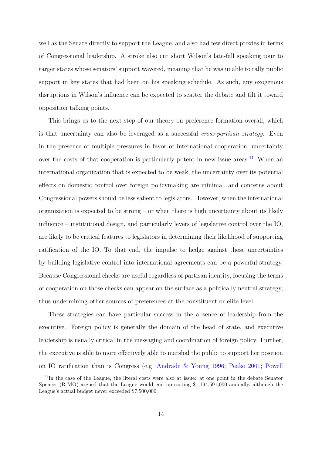well as the Senate directly to support the League, and also had few direct proxies in terms of Congressional leadership. A stroke also cut short Wilson's late-fall speaking tour to target states whose senators' support wavered, meaning that he was unable to rally public support in key states that had been on his speaking schedule. As such, any exogenous disruptions in Wilson's influence can be expected to scatter the debate and tilt it toward opposition talking points.

This brings us to the next step of our theory on preference formation overall, which is that uncertainty can also be leveraged as a successful *cross-partisan strategy*. Even in the presence of multiple pressures in favor of international cooperation, uncertainty over the costs of that cooperation is particularly potent in new issue areas.<sup>[11](#page-14-0)</sup> When an international organization that is expected to be weak, the uncertainty over its potential effects on domestic control over foreign policymaking are minimal, and concerns about Congressional powers should be less salient to legislators. However, when the international organization is expected to be strong – or when there is high uncertainty about its likely influence – institutional design, and particularly levers of legislative control over the IO, are likely to be critical features to legislators in determining their likelihood of supporting ratification of the IO. To that end, the impulse to hedge against those uncertainties by building legislative control into international agreements can be a powerful strategy. Because Congressional checks are useful regardless of partisan identity, focusing the terms of cooperation on those checks can appear on the surface as a politically neutral strategy, thus undermining other sources of preferences at the constituent or elite level.

These strategies can have particular success in the absence of leadership from the executive. Foreign policy is generally the domain of the head of state, and executive leadership is usually critical in the messaging and coordination of foreign policy. Further, the executive is able to more effectively able to marshal the public to support her position on IO ratification than is Congress (e.g. [Andrade & Young](#page-25-8) [1996;](#page-25-8) [Peake](#page-30-6) [2001;](#page-30-6) [Powell](#page-30-7)

<span id="page-14-0"></span><sup>&</sup>lt;sup>11</sup>In the case of the League, the literal costs were also at issue: at one point in the debate Senator Spencer (R-MO) argued that the League would end up costing \$1,194,591,000 annually, although the League's actual budget never exceeded \$7,500,000.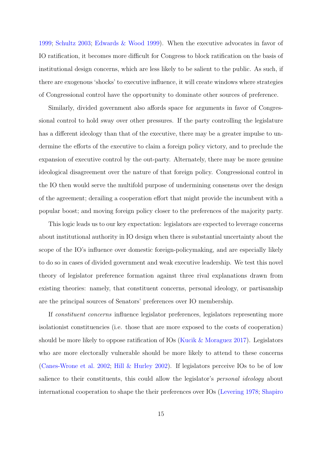[1999;](#page-30-7) [Schultz](#page-30-8) [2003;](#page-30-8) [Edwards & Wood](#page-26-9) [1999\)](#page-26-9). When the executive advocates in favor of IO ratification, it becomes more difficult for Congress to block ratification on the basis of institutional design concerns, which are less likely to be salient to the public. As such, if there are exogenous 'shocks' to executive influence, it will create windows where strategies of Congressional control have the opportunity to dominate other sources of preference.

Similarly, divided government also affords space for arguments in favor of Congressional control to hold sway over other pressures. If the party controlling the legislature has a different ideology than that of the executive, there may be a greater impulse to undermine the efforts of the executive to claim a foreign policy victory, and to preclude the expansion of executive control by the out-party. Alternately, there may be more genuine ideological disagreement over the nature of that foreign policy. Congressional control in the IO then would serve the multifold purpose of undermining consensus over the design of the agreement; derailing a cooperation effort that might provide the incumbent with a popular boost; and moving foreign policy closer to the preferences of the majority party.

This logic leads us to our key expectation: legislators are expected to leverage concerns about institutional authority in IO design when there is substantial uncertainty about the scope of the IO's influence over domestic foreign-policymaking, and are especially likely to do so in cases of divided government and weak executive leadership. We test this novel theory of legislator preference formation against three rival explanations drawn from existing theories: namely, that constituent concerns, personal ideology, or partisanship are the principal sources of Senators' preferences over IO membership.

If constituent concerns influence legislator preferences, legislators representing more isolationist constituencies (i.e. those that are more exposed to the costs of cooperation) should be more likely to oppose ratification of IOs [\(Kucik & Moraguez](#page-28-7) [2017\)](#page-28-7). Legislators who are more electorally vulnerable should be more likely to attend to these concerns [\(Canes-Wrone et al.](#page-25-0) [2002;](#page-25-0) [Hill & Hurley](#page-27-9) [2002\)](#page-27-9). If legislators perceive IOs to be of low salience to their constituents, this could allow the legislator's *personal ideology* about international cooperation to shape the their preferences over IOs [\(Levering](#page-29-9) [1978;](#page-29-9) [Shapiro](#page-30-3)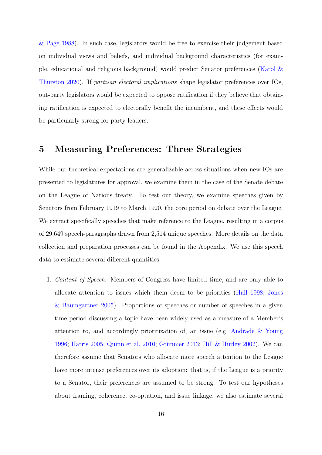[& Page](#page-30-3) [1988\)](#page-30-3). In such case, legislators would be free to exercise their judgement based on individual views and beliefs, and individual background characteristics (for example, educational and religious background) would predict Senator preferences [\(Karol &](#page-28-8) [Thurston](#page-28-8) [2020\)](#page-28-8). If partisan electoral implications shape legislator preferences over IOs, out-party legislators would be expected to oppose ratification if they believe that obtaining ratification is expected to electorally benefit the incumbent, and these effects would be particularly strong for party leaders.

## <span id="page-16-0"></span>5 Measuring Preferences: Three Strategies

While our theoretical expectations are generalizable across situations when new IOs are presented to legislatures for approval, we examine them in the case of the Senate debate on the League of Nations treaty. To test our theory, we examine speeches given by Senators from February 1919 to March 1920, the core period on debate over the League. We extract specifically speeches that make reference to the League, resulting in a corpus of 29,649 speech-paragraphs drawn from 2,514 unique speeches. More details on the data collection and preparation processes can be found in the Appendix. We use this speech data to estimate several different quantities:

1. Content of Speech: Members of Congress have limited time, and are only able to allocate attention to issues which them deem to be priorities [\(Hall](#page-27-10) [1998;](#page-27-10) [Jones](#page-27-11) [& Baumgartner](#page-27-11) [2005\)](#page-27-11). Proportions of speeches or number of speeches in a given time period discussing a topic have been widely used as a measure of a Member's attention to, and accordingly prioritization of, an issue (e.g. [Andrade & Young](#page-25-8) [1996;](#page-25-8) [Harris](#page-27-12) [2005;](#page-27-12) [Quinn et al.](#page-30-9) [2010;](#page-30-9) [Grimmer](#page-26-10) [2013;](#page-26-10) [Hill & Hurley](#page-27-9) [2002\)](#page-27-9). We can therefore assume that Senators who allocate more speech attention to the League have more intense preferences over its adoption: that is, if the League is a priority to a Senator, their preferences are assumed to be strong. To test our hypotheses about framing, coherence, co-optation, and issue linkage, we also estimate several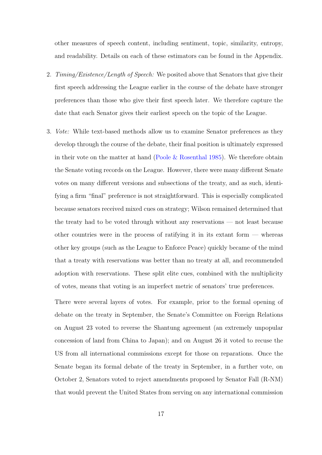other measures of speech content, including sentiment, topic, similarity, entropy, and readability. Details on each of these estimators can be found in the Appendix.

- 2. Timing/Existence/Length of Speech: We posited above that Senators that give their first speech addressing the League earlier in the course of the debate have stronger preferences than those who give their first speech later. We therefore capture the date that each Senator gives their earliest speech on the topic of the League.
- 3. Vote: While text-based methods allow us to examine Senator preferences as they develop through the course of the debate, their final position is ultimately expressed in their vote on the matter at hand [\(Poole & Rosenthal](#page-30-10) [1985\)](#page-30-10). We therefore obtain the Senate voting records on the League. However, there were many different Senate votes on many different versions and subsections of the treaty, and as such, identifying a firm "final" preference is not straightforward. This is especially complicated because senators received mixed cues on strategy; Wilson remained determined that the treaty had to be voted through without any reservations — not least because other countries were in the process of ratifying it in its extant form  $-$  whereas other key groups (such as the League to Enforce Peace) quickly became of the mind that a treaty with reservations was better than no treaty at all, and recommended adoption with reservations. These split elite cues, combined with the multiplicity of votes, means that voting is an imperfect metric of senators' true preferences.

There were several layers of votes. For example, prior to the formal opening of debate on the treaty in September, the Senate's Committee on Foreign Relations on August 23 voted to reverse the Shantung agreement (an extremely unpopular concession of land from China to Japan); and on August 26 it voted to recuse the US from all international commissions except for those on reparations. Once the Senate began its formal debate of the treaty in September, in a further vote, on October 2, Senators voted to reject amendments proposed by Senator Fall (R-NM) that would prevent the United States from serving on any international commission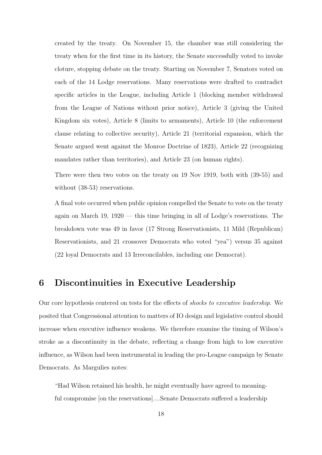created by the treaty. On November 15, the chamber was still considering the treaty when for the first time in its history, the Senate successfully voted to invoke cloture, stopping debate on the treaty. Starting on November 7, Senators voted on each of the 14 Lodge reservations. Many reservations were drafted to contradict specific articles in the League, including Article 1 (blocking member withdrawal from the League of Nations without prior notice), Article 3 (giving the United Kingdom six votes), Article 8 (limits to armaments), Article 10 (the enforcement clause relating to collective security), Article 21 (territorial expansion, which the Senate argued went against the Monroe Doctrine of 1823), Article 22 (recognizing mandates rather than territories), and Article 23 (on human rights).

There were then two votes on the treaty on 19 Nov 1919, both with (39-55) and without  $(38-53)$  reservations.

A final vote occurred when public opinion compelled the Senate to vote on the treaty again on March 19, 1920 — this time bringing in all of Lodge's reservations. The breakdown vote was 49 in favor (17 Strong Reservationists, 11 Mild (Republican) Reservationists, and 21 crossover Democrats who voted "yea") versus 35 against (22 loyal Democrats and 13 Irreconcilables, including one Democrat).

## <span id="page-18-0"></span>6 Discontinuities in Executive Leadership

Our core hypothesis centered on tests for the effects of shocks to executive leadership. We posited that Congressional attention to matters of IO design and legislative control should increase when executive influence weakens. We therefore examine the timing of Wilson's stroke as a discontinuity in the debate, reflecting a change from high to low executive influence, as Wilson had been instrumental in leading the pro-League campaign by Senate Democrats. As Margulies notes:

"Had Wilson retained his health, he might eventually have agreed to meaningful compromise [on the reservations]....Senate Democrats suffered a leadership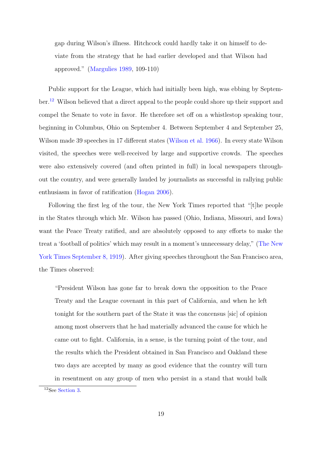gap during Wilson's illness. Hitchcock could hardly take it on himself to deviate from the strategy that he had earlier developed and that Wilson had approved." [\(Margulies](#page-29-7) [1989,](#page-29-7) 109-110)

Public support for the League, which had initially been high, was ebbing by Septem-ber.<sup>[12](#page-19-0)</sup> Wilson believed that a direct appeal to the people could shore up their support and compel the Senate to vote in favor. He therefore set off on a whistlestop speaking tour, beginning in Columbus, Ohio on September 4. Between September 4 and September 25, Wilson made 39 speeches in 17 different states [\(Wilson et al.](#page-31-6) [1966\)](#page-31-6). In every state Wilson visited, the speeches were well-received by large and supportive crowds. The speeches were also extensively covered (and often printed in full) in local newspapers throughout the country, and were generally lauded by journalists as successful in rallying public enthusiasm in favor of ratification [\(Hogan](#page-27-8) [2006\)](#page-27-8).

Following the first leg of the tour, the New York Times reported that "[t]he people in the States through which Mr. Wilson has passed (Ohio, Indiana, Missouri, and Iowa) want the Peace Treaty ratified, and are absolutely opposed to any efforts to make the treat a 'football of politics' which may result in a moment's unnecessary delay," [\(The New](#page-31-7) [York Times](#page-31-7) [September 8, 1919\)](#page-31-7). After giving speeches throughout the San Francisco area, the Times observed:

"President Wilson has gone far to break down the opposition to the Peace Treaty and the League covenant in this part of California, and when he left tonight for the southern part of the State it was the concensus [sic] of opinion among most observers that he had materially advanced the cause for which he came out to fight. California, in a sense, is the turning point of the tour, and the results which the President obtained in San Francisco and Oakland these two days are accepted by many as good evidence that the country will turn in resentment on any group of men who persist in a stand that would balk

<span id="page-19-0"></span> $\rm ^{12}See$  [Section 3.](#page-9-2)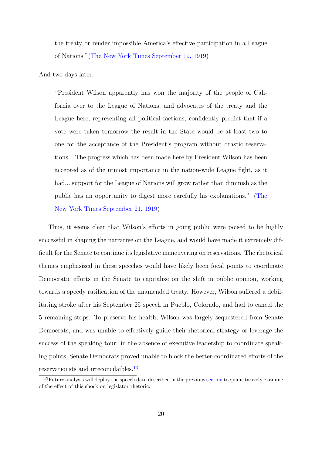the treaty or render impossible America's effective participation in a League of Nations."[\(The New York Times](#page-31-8) [September 19, 1919\)](#page-31-8)

And two days later:

"President Wilson apparently has won the majority of the people of California over to the League of Nations, and advocates of the treaty and the League here, representing all political factions, confidently predict that if a vote were taken tomorrow the result in the State would be at least two to one for the acceptance of the President's program without drastic reservations....The progress which has been made here by President Wilson has been accepted as of the utmost importance in the nation-wide League fight, as it had....support for the League of Nations will grow rather than diminish as the public has an opportunity to digest more carefully his explanations." [\(The](#page-31-9) [New York Times](#page-31-9) [September 21, 1919\)](#page-31-9)

Thus, it seems clear that Wilson's efforts in going public were poised to be highly successful in shaping the narrative on the League, and would have made it extremely difficult for the Senate to continue its legislative maneuvering on reservations. The rhetorical themes emphasized in these speeches would have likely been focal points to coordinate Democratic efforts in the Senate to capitalize on the shift in public opinion, working towards a speedy ratification of the unamended treaty. However, Wilson suffered a debilitating stroke after his September 25 speech in Pueblo, Colorado, and had to cancel the 5 remaining stops. To preserve his health, Wilson was largely sequestered from Senate Democrats, and was unable to effectively guide their rhetorical strategy or leverage the success of the speaking tour: in the absence of executive leadership to coordinate speaking points, Senate Democrats proved unable to block the better-coordinated efforts of the reservationsts and irreconcilaibles.[13](#page-20-0)

<span id="page-20-0"></span><sup>&</sup>lt;sup>13</sup>Future analysis will deploy the speech data described in the previous [section](#page-16-0) to quantitatively examine of the effect of this shock on legislator rhetoric.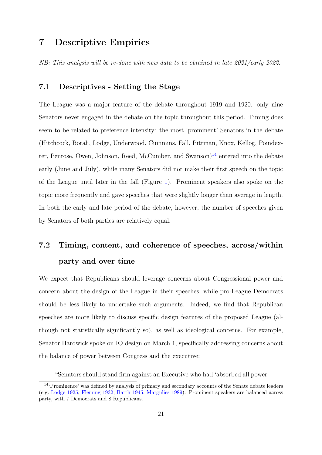## 7 Descriptive Empirics

NB: This analysis will be re-done with new data to be obtained in late 2021/early 2022.

#### 7.1 Descriptives - Setting the Stage

The League was a major feature of the debate throughout 1919 and 1920: only nine Senators never engaged in the debate on the topic throughout this period. Timing does seem to be related to preference intensity: the most 'prominent' Senators in the debate (Hitchcock, Borah, Lodge, Underwood, Cummins, Fall, Pittman, Knox, Kellog, Poindex-ter, Penrose, Owen, Johnson, Reed, McCumber, and Swanson)<sup>[14](#page-21-0)</sup> entered into the debate early (June and July), while many Senators did not make their first speech on the topic of the League until later in the fall (Figure [1\)](#page-22-0). Prominent speakers also spoke on the topic more frequently and gave speeches that were slightly longer than average in length. In both the early and late period of the debate, however, the number of speeches given by Senators of both parties are relatively equal.

## 7.2 Timing, content, and coherence of speeches, across/within party and over time

We expect that Republicans should leverage concerns about Congressional power and concern about the design of the League in their speeches, while pro-League Democrats should be less likely to undertake such arguments. Indeed, we find that Republican speeches are more likely to discuss specific design features of the proposed League (although not statistically significantly so), as well as ideological concerns. For example, Senator Hardwick spoke on IO design on March 1, specifically addressing concerns about the balance of power between Congress and the executive:

"Senators should stand firm against an Executive who had 'absorbed all power

<span id="page-21-0"></span><sup>14</sup>'Prominence' was defined by analysis of primary and secondary accounts of the Senate debate leaders (e.g. [Lodge](#page-29-10) [1925;](#page-29-10) [Fleming](#page-26-2) [1932;](#page-26-2) [Barth](#page-25-9) [1945;](#page-25-9) [Margulies](#page-29-7) [1989\)](#page-29-7). Prominent speakers are balanced across party, with 7 Democrats and 8 Republicans.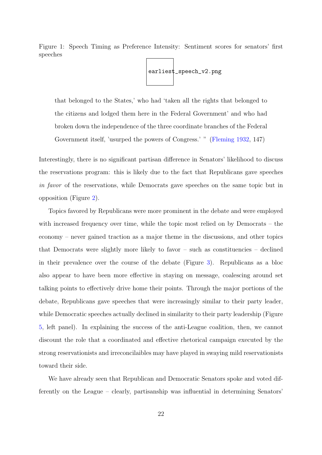<span id="page-22-0"></span>Figure 1: Speech Timing as Preference Intensity: Sentiment scores for senators' first speeches



that belonged to the States,' who had 'taken all the rights that belonged to the citizens and lodged them here in the Federal Government' and who had broken down the independence of the three coordinate branches of the Federal Government itself, 'usurped the powers of Congress.' " [\(Fleming](#page-26-2) [1932,](#page-26-2) 147)

Interestingly, there is no significant partisan difference in Senators' likelihood to discuss the reservations program: this is likely due to the fact that Republicans gave speeches in favor of the reservations, while Democrats gave speeches on the same topic but in opposition (Figure [2\)](#page-23-0).

Topics favored by Republicans were more prominent in the debate and were employed with increased frequency over time, while the topic most relied on by Democrats – the economy – never gained traction as a major theme in the discussions, and other topics that Democrats were slightly more likely to favor – such as constituencies – declined in their prevalence over the course of the debate (Figure [3\)](#page-23-1). Republicans as a bloc also appear to have been more effective in staying on message, coalescing around set talking points to effectively drive home their points. Through the major portions of the debate, Republicans gave speeches that were increasingly similar to their party leader, while Democratic speeches actually declined in similarity to their party leadership (Figure [5,](#page-23-2) left panel). In explaining the success of the anti-League coalition, then, we cannot discount the role that a coordinated and effective rhetorical campaign executed by the strong reservationists and irreconcilaibles may have played in swaying mild reservationists toward their side.

We have already seen that Republican and Democratic Senators spoke and voted differently on the League – clearly, partisanship was influential in determining Senators'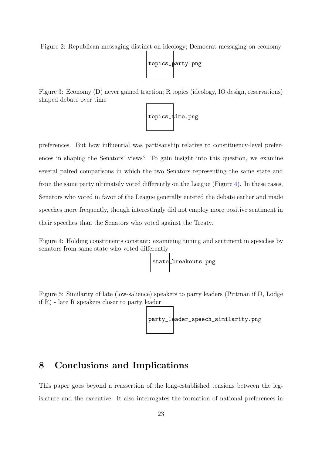<span id="page-23-0"></span>Figure 2: Republican messaging distinct on ideology; Democrat messaging on economy



<span id="page-23-1"></span>Figure 3: Economy (D) never gained traction; R topics (ideology, IO design, reservations) shaped debate over time



preferences. But how influential was partisanship relative to constituency-level preferences in shaping the Senators' views? To gain insight into this question, we examine several paired comparisons in which the two Senators representing the same state and from the same party ultimately voted differently on the League (Figure [4\)](#page-23-3). In these cases, Senators who voted in favor of the League generally entered the debate earlier and made speeches more frequently, though interestingly did not employ more positive sentiment in their speeches than the Senators who voted against the Treaty.

<span id="page-23-3"></span>Figure 4: Holding constituents constant: examining timing and sentiment in speeches by senators from same state who voted differently

state\_breakouts.png

<span id="page-23-2"></span>Figure 5: Similarity of late (low-salience) speakers to party leaders (Pittman if D, Lodge if R) - late R speakers closer to party leader

party\_leader\_speech\_similarity.png

## 8 Conclusions and Implications

This paper goes beyond a reassertion of the long-established tensions between the legislature and the executive. It also interrogates the formation of national preferences in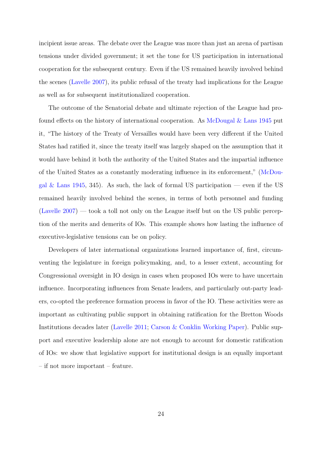incipient issue areas. The debate over the League was more than just an arena of partisan tensions under divided government; it set the tone for US participation in international cooperation for the subsequent century. Even if the US remained heavily involved behind the scenes [\(Lavelle](#page-28-10) [2007\)](#page-28-10), its public refusal of the treaty had implications for the League as well as for subsequent institutionalized cooperation.

The outcome of the Senatorial debate and ultimate rejection of the League had profound effects on the history of international cooperation. As [McDougal & Lans](#page-29-8) [1945](#page-29-8) put it, "The history of the Treaty of Versailles would have been very different if the United States had ratified it, since the treaty itself was largely shaped on the assumption that it would have behind it both the authority of the United States and the impartial influence of the United States as a constantly moderating influence in its enforcement," [\(McDou](#page-29-8)[gal & Lans](#page-29-8) [1945,](#page-29-8) 345). As such, the lack of formal US participation — even if the US remained heavily involved behind the scenes, in terms of both personnel and funding [\(Lavelle](#page-28-10) [2007\)](#page-28-10) — took a toll not only on the League itself but on the US public perception of the merits and demerits of IOs. This example shows how lasting the influence of executive-legislative tensions can be on policy.

Developers of later international organizations learned importance of, first, circumventing the legislature in foreign policymaking, and, to a lesser extent, accounting for Congressional oversight in IO design in cases when proposed IOs were to have uncertain influence. Incorporating influences from Senate leaders, and particularly out-party leaders, co-opted the preference formation process in favor of the IO. These activities were as important as cultivating public support in obtaining ratification for the Bretton Woods Institutions decades later [\(Lavelle](#page-28-2) [2011;](#page-28-2) [Carson & Conklin](#page-25-2) [Working Paper\)](#page-25-2). Public support and executive leadership alone are not enough to account for domestic ratification of IOs: we show that legislative support for institutional design is an equally important – if not more important – feature.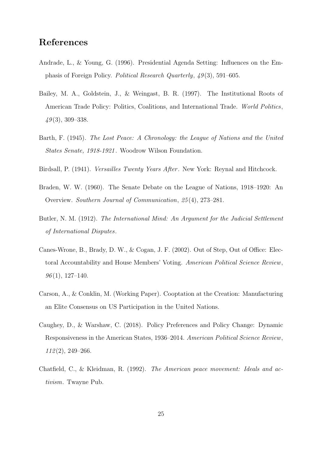## References

- <span id="page-25-8"></span>Andrade, L., & Young, G. (1996). Presidential Agenda Setting: Influences on the Emphasis of Foreign Policy. Political Research Quarterly, 49 (3), 591–605.
- <span id="page-25-1"></span>Bailey, M. A., Goldstein, J., & Weingast, B. R. (1997). The Institutional Roots of American Trade Policy: Politics, Coalitions, and International Trade. World Politics,  $49(3)$ , 309–338.
- <span id="page-25-9"></span>Barth, F. (1945). The Lost Peace: A Chronology: the League of Nations and the United States Senate, 1918-1921 . Woodrow Wilson Foundation.
- <span id="page-25-6"></span>Birdsall, P. (1941). *Versailles Twenty Years After*. New York: Reynal and Hitchcock.
- <span id="page-25-7"></span>Braden, W. W. (1960). The Senate Debate on the League of Nations, 1918–1920: An Overview. Southern Journal of Communication, 25 (4), 273–281.
- <span id="page-25-4"></span>Butler, N. M. (1912). The International Mind: An Argument for the Judicial Settlement of International Disputes.
- <span id="page-25-0"></span>Canes-Wrone, B., Brady, D. W., & Cogan, J. F. (2002). Out of Step, Out of Office: Electoral Accountability and House Members' Voting. American Political Science Review,  $96(1), 127-140.$
- <span id="page-25-2"></span>Carson, A., & Conklin, M. (Working Paper). Cooptation at the Creation: Manufacturing an Elite Consensus on US Participation in the United Nations.
- <span id="page-25-3"></span>Caughey, D., & Warshaw, C. (2018). Policy Preferences and Policy Change: Dynamic Responsiveness in the American States, 1936–2014. American Political Science Review,  $112(2)$ , 249-266.
- <span id="page-25-5"></span>Chatfield, C., & Kleidman, R. (1992). The American peace movement: Ideals and activism. Twayne Pub.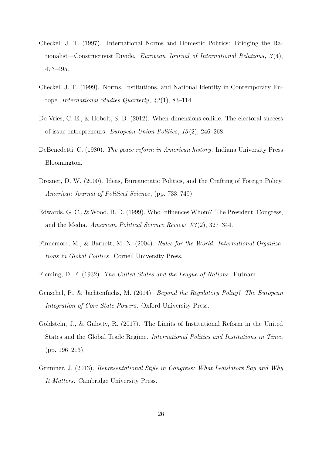- <span id="page-26-0"></span>Checkel, J. T. (1997). International Norms and Domestic Politics: Bridging the Rationalist—Constructivist Divide. European Journal of International Relations,  $3(4)$ , 473–495.
- <span id="page-26-3"></span>Checkel, J. T. (1999). Norms, Institutions, and National Identity in Contemporary Europe. International Studies Quarterly,  $43(1)$ , 83-114.
- <span id="page-26-6"></span>De Vries, C. E., & Hobolt, S. B. (2012). When dimensions collide: The electoral success of issue entrepreneurs. European Union Politics, 13 (2), 246–268.
- <span id="page-26-8"></span>DeBenedetti, C. (1980). The peace reform in American history. Indiana University Press Bloomington.
- <span id="page-26-4"></span>Drezner, D. W. (2000). Ideas, Bureaucratic Politics, and the Crafting of Foreign Policy. American Journal of Political Science, (pp. 733–749).
- <span id="page-26-9"></span>Edwards, G. C., & Wood, B. D. (1999). Who Influences Whom? The President, Congress, and the Media. American Political Science Review, 93 (2), 327–344.
- <span id="page-26-5"></span>Finnemore, M., & Barnett, M. N. (2004). Rules for the World: International Organizations in Global Politics. Cornell University Press.
- <span id="page-26-2"></span>Fleming, D. F. (1932). The United States and the League of Nations. Putnam.
- <span id="page-26-7"></span>Genschel, P., & Jachtenfuchs, M. (2014). Beyond the Regulatory Polity? The European Integration of Core State Powers. Oxford University Press.
- <span id="page-26-1"></span>Goldstein, J., & Gulotty, R. (2017). The Limits of Institutional Reform in the United States and the Global Trade Regime. International Politics and Institutions in Time, (pp. 196–213).
- <span id="page-26-10"></span>Grimmer, J. (2013). Representational Style in Congress: What Legislators Say and Why It Matters. Cambridge University Press.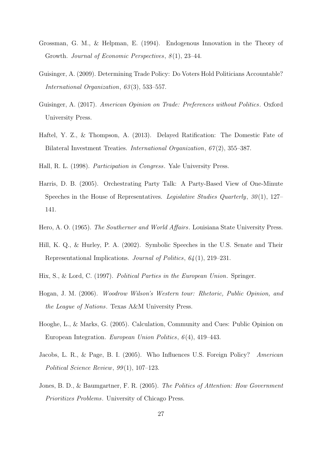- <span id="page-27-1"></span>Grossman, G. M., & Helpman, E. (1994). Endogenous Innovation in the Theory of Growth. Journal of Economic Perspectives,  $8(1)$ , 23-44.
- <span id="page-27-6"></span>Guisinger, A. (2009). Determining Trade Policy: Do Voters Hold Politicians Accountable? International Organization, 63(3), 533-557.
- <span id="page-27-5"></span>Guisinger, A. (2017). American Opinion on Trade: Preferences without Politics. Oxford University Press.
- <span id="page-27-0"></span>Haftel, Y. Z., & Thompson, A. (2013). Delayed Ratification: The Domestic Fate of Bilateral Investment Treaties. International Organization, 67 (2), 355–387.
- <span id="page-27-10"></span>Hall, R. L. (1998). Participation in Congress. Yale University Press.
- <span id="page-27-12"></span>Harris, D. B. (2005). Orchestrating Party Talk: A Party-Based View of One-Minute Speeches in the House of Representatives. Legislative Studies Quarterly,  $30(1)$ , 127– 141.
- <span id="page-27-7"></span>Hero, A. O. (1965). The Southerner and World Affairs. Louisiana State University Press.
- <span id="page-27-9"></span>Hill, K. Q., & Hurley, P. A. (2002). Symbolic Speeches in the U.S. Senate and Their Representational Implications. Journal of Politics, 64 (1), 219–231.
- <span id="page-27-4"></span>Hix, S., & Lord, C. (1997). Political Parties in the European Union. Springer.
- <span id="page-27-8"></span>Hogan, J. M. (2006). Woodrow Wilson's Western tour: Rhetoric, Public Opinion, and the League of Nations. Texas A&M University Press.
- <span id="page-27-3"></span>Hooghe, L., & Marks, G. (2005). Calculation, Community and Cues: Public Opinion on European Integration. European Union Politics, 6 (4), 419–443.
- <span id="page-27-2"></span>Jacobs, L. R., & Page, B. I. (2005). Who Influences U.S. Foreign Policy? American Political Science Review, 99(1), 107-123.
- <span id="page-27-11"></span>Jones, B. D., & Baumgartner, F. R. (2005). The Politics of Attention: How Government Prioritizes Problems. University of Chicago Press.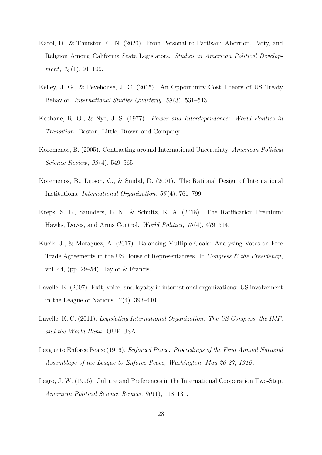- <span id="page-28-8"></span>Karol, D., & Thurston, C. N. (2020). From Personal to Partisan: Abortion, Party, and Religion Among California State Legislators. Studies in American Political Development,  $34(1)$ , 91-109.
- <span id="page-28-1"></span>Kelley, J. G., & Pevehouse, J. C. (2015). An Opportunity Cost Theory of US Treaty Behavior. *International Studies Quarterly*, 59(3), 531-543.
- <span id="page-28-4"></span>Keohane, R. O., & Nye, J. S. (1977). Power and Interdependence: World Politics in Transition. Boston, Little, Brown and Company.
- <span id="page-28-3"></span>Koremenos, B. (2005). Contracting around International Uncertainty. American Political Science Review, 99(4), 549–565.
- <span id="page-28-0"></span>Koremenos, B., Lipson, C., & Snidal, D. (2001). The Rational Design of International Institutions. International Organization, 55 (4), 761–799.
- <span id="page-28-6"></span>Kreps, S. E., Saunders, E. N., & Schultz, K. A. (2018). The Ratification Premium: Hawks, Doves, and Arms Control. World Politics, 70(4), 479–514.
- <span id="page-28-7"></span>Kucik, J., & Moraguez, A. (2017). Balancing Multiple Goals: Analyzing Votes on Free Trade Agreements in the US House of Representatives. In *Congress & the Presidency*, vol. 44, (pp. 29–54). Taylor & Francis.
- <span id="page-28-10"></span>Lavelle, K. (2007). Exit, voice, and loyalty in international organizations: US involvement in the League of Nations.  $\mathcal{Q}(4)$ , 393-410.
- <span id="page-28-2"></span>Lavelle, K. C. (2011). Legislating International Organization: The US Congress, the IMF, and the World Bank. OUP USA.
- <span id="page-28-9"></span>League to Enforce Peace (1916). Enforced Peace: Proceedings of the First Annual National Assemblage of the League to Enforce Peace, Washington, May 26-27, 1916 .
- <span id="page-28-5"></span>Legro, J. W. (1996). Culture and Preferences in the International Cooperation Two-Step. American Political Science Review, 90(1), 118–137.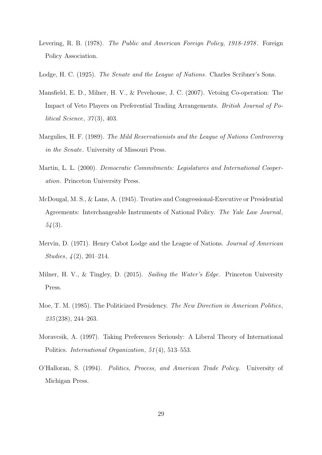- <span id="page-29-9"></span>Levering, R. B. (1978). The Public and American Foreign Policy, 1918-1978. Foreign Policy Association.
- <span id="page-29-10"></span>Lodge, H. C. (1925). The Senate and the League of Nations. Charles Scribner's Sons.
- <span id="page-29-1"></span>Mansfield, E. D., Milner, H. V., & Pevehouse, J. C. (2007). Vetoing Co-operation: The Impact of Veto Players on Preferential Trading Arrangements. British Journal of Political Science,  $37(3)$ , 403.
- <span id="page-29-7"></span>Margulies, H. F. (1989). The Mild Reservationists and the League of Nations Controversy in the Senate. University of Missouri Press.
- <span id="page-29-0"></span>Martin, L. L. (2000). Democratic Commitments: Legislatures and International Cooperation. Princeton University Press.
- <span id="page-29-8"></span>McDougal, M. S., & Lans, A. (1945). Treaties and Congressional-Executive or Presidential Agreements: Interchangeable Instruments of National Policy. The Yale Law Journal,  $54(3).$
- <span id="page-29-6"></span>Mervin, D. (1971). Henry Cabot Lodge and the League of Nations. Journal of American Studies,  $\frac{4(2)}{201-214}$ .
- <span id="page-29-5"></span>Milner, H. V., & Tingley, D. (2015). Sailing the Water's Edge. Princeton University Press.
- <span id="page-29-4"></span>Moe, T. M. (1985). The Politicized Presidency. The New Direction in American Politics, 235 (238), 244–263.
- <span id="page-29-3"></span>Moravcsik, A. (1997). Taking Preferences Seriously: A Liberal Theory of International Politics. International Organization, 51 (4), 513–553.
- <span id="page-29-2"></span>O'Halloran, S. (1994). Politics, Process, and American Trade Policy. University of Michigan Press.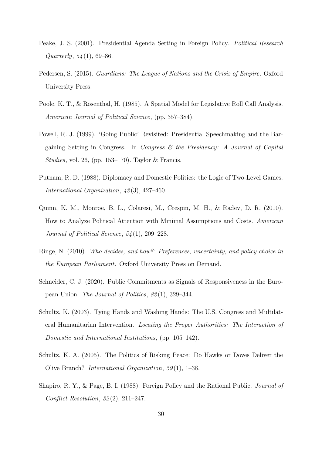- <span id="page-30-6"></span>Peake, J. S. (2001). Presidential Agenda Setting in Foreign Policy. *Political Research*  $Quarterly, 54(1), 69–86.$
- <span id="page-30-2"></span>Pedersen, S. (2015). Guardians: The League of Nations and the Crisis of Empire. Oxford University Press.
- <span id="page-30-10"></span>Poole, K. T., & Rosenthal, H. (1985). A Spatial Model for Legislative Roll Call Analysis. American Journal of Political Science, (pp. 357–384).
- <span id="page-30-7"></span>Powell, R. J. (1999). 'Going Public' Revisited: Presidential Speechmaking and the Bargaining Setting in Congress. In Congress  $\mathcal C$  the Presidency: A Journal of Capital *Studies*, vol. 26, (pp. 153–170). Taylor & Francis.
- <span id="page-30-0"></span>Putnam, R. D. (1988). Diplomacy and Domestic Politics: the Logic of Two-Level Games. International Organization,  $\frac{1}{2}(3)$ , 427-460.
- <span id="page-30-9"></span>Quinn, K. M., Monroe, B. L., Colaresi, M., Crespin, M. H., & Radev, D. R. (2010). How to Analyze Political Attention with Minimal Assumptions and Costs. American Journal of Political Science, 54 (1), 209–228.
- <span id="page-30-5"></span>Ringe, N. (2010). Who decides, and how?: Preferences, uncertainty, and policy choice in the European Parliament. Oxford University Press on Demand.
- <span id="page-30-1"></span>Schneider, C. J. (2020). Public Commitments as Signals of Responsiveness in the European Union. The Journal of Politics, 82 (1), 329–344.
- <span id="page-30-8"></span>Schultz, K. (2003). Tying Hands and Washing Hands: The U.S. Congress and Multilateral Humanitarian Intervention. Locating the Proper Authorities: The Interaction of Domestic and International Institutions, (pp. 105–142).
- <span id="page-30-4"></span>Schultz, K. A. (2005). The Politics of Risking Peace: Do Hawks or Doves Deliver the Olive Branch? International Organization, 59 (1), 1–38.
- <span id="page-30-3"></span>Shapiro, R. Y., & Page, B. I. (1988). Foreign Policy and the Rational Public. Journal of Conflict Resolution,  $32(2)$ ,  $211-247$ .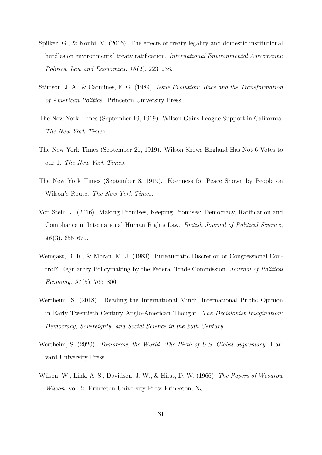- <span id="page-31-1"></span>Spilker, G., & Koubi, V. (2016). The effects of treaty legality and domestic institutional hurdles on environmental treaty ratification. *International Environmental Agreements:* Politics, Law and Economics,  $16(2)$ ,  $223-238$ .
- <span id="page-31-5"></span>Stimson, J. A., & Carmines, E. G. (1989). Issue Evolution: Race and the Transformation of American Politics. Princeton University Press.
- <span id="page-31-8"></span>The New York Times (September 19, 1919). Wilson Gains League Support in California. The New York Times.
- <span id="page-31-9"></span>The New York Times (September 21, 1919). Wilson Shows England Has Not 6 Votes to our 1. The New York Times.
- <span id="page-31-7"></span>The New York Times (September 8, 1919). Keenness for Peace Shown by People on Wilson's Route. The New York Times.
- <span id="page-31-0"></span>Von Stein, J. (2016). Making Promises, Keeping Promises: Democracy, Ratification and Compliance in International Human Rights Law. British Journal of Political Science,  $46(3), 655-679.$
- <span id="page-31-4"></span>Weingast, B. R., & Moran, M. J. (1983). Bureaucratic Discretion or Congressional Control? Regulatory Policymaking by the Federal Trade Commission. Journal of Political Economy,  $91(5)$ , 765–800.
- <span id="page-31-3"></span>Wertheim, S. (2018). Reading the International Mind: International Public Opinion in Early Twentieth Century Anglo-American Thought. The Decisionist Imagination: Democracy, Sovereignty, and Social Science in the 20th Century.
- <span id="page-31-2"></span>Wertheim, S. (2020). *Tomorrow, the World: The Birth of U.S. Global Supremacy*. Harvard University Press.
- <span id="page-31-6"></span>Wilson, W., Link, A. S., Davidson, J. W., & Hirst, D. W. (1966). The Papers of Woodrow Wilson, vol. 2. Princeton University Press Princeton, NJ.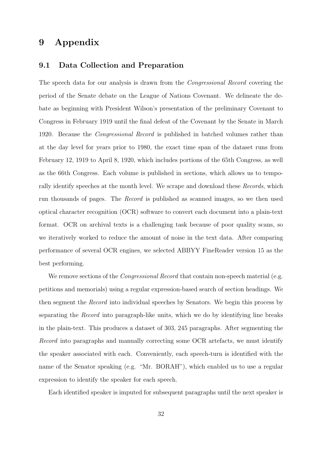## 9 Appendix

#### 9.1 Data Collection and Preparation

The speech data for our analysis is drawn from the Congressional Record covering the period of the Senate debate on the League of Nations Covenant. We delineate the debate as beginning with President Wilson's presentation of the preliminary Covenant to Congress in February 1919 until the final defeat of the Covenant by the Senate in March 1920. Because the Congressional Record is published in batched volumes rather than at the day level for years prior to 1980, the exact time span of the dataset runs from February 12, 1919 to April 8, 1920, which includes portions of the 65th Congress, as well as the 66th Congress. Each volume is published in sections, which allows us to temporally identify speeches at the month level. We scrape and download these *Records*, which run thousands of pages. The Record is published as scanned images, so we then used optical character recognition (OCR) software to convert each document into a plain-text format. OCR on archival texts is a challenging task because of poor quality scans, so we iteratively worked to reduce the amount of noise in the text data. After comparing performance of several OCR engines, we selected ABBYY FineReader version 15 as the best performing.

We remove sections of the *Congressional Record* that contain non-speech material (e.g. petitions and memorials) using a regular expression-based search of section headings. We then segment the Record into individual speeches by Senators. We begin this process by separating the Record into paragraph-like units, which we do by identifying line breaks in the plain-text. This produces a dataset of 303, 245 paragraphs. After segmenting the Record into paragraphs and manually correcting some OCR artefacts, we must identify the speaker associated with each. Conveniently, each speech-turn is identified with the name of the Senator speaking (e.g. "Mr. BORAH"), which enabled us to use a regular expression to identify the speaker for each speech.

Each identified speaker is imputed for subsequent paragraphs until the next speaker is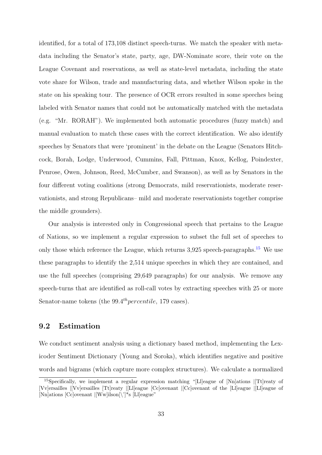identified, for a total of 173,108 distinct speech-turns. We match the speaker with metadata including the Senator's state, party, age, DW-Nominate score, their vote on the League Covenant and reservations, as well as state-level metadata, including the state vote share for Wilson, trade and manufacturing data, and whether Wilson spoke in the state on his speaking tour. The presence of OCR errors resulted in some speeches being labeled with Senator names that could not be automatically matched with the metadata (e.g. "Mr. RORAH"). We implemented both automatic procedures (fuzzy match) and manual evaluation to match these cases with the correct identification. We also identify speeches by Senators that were 'prominent' in the debate on the League (Senators Hitchcock, Borah, Lodge, Underwood, Cummins, Fall, Pittman, Knox, Kellog, Poindexter, Penrose, Owen, Johnson, Reed, McCumber, and Swanson), as well as by Senators in the four different voting coalitions (strong Democrats, mild reservationists, moderate reservationists, and strong Republicans– mild and moderate reservationists together comprise the middle grounders).

Our analysis is interested only in Congressional speech that pertains to the League of Nations, so we implement a regular expression to subset the full set of speeches to only those which reference the League, which returns  $3,925$  speech-paragraphs.<sup>[15](#page-33-0)</sup> We use these paragraphs to identify the 2,514 unique speeches in which they are contained, and use the full speeches (comprising 29,649 paragraphs) for our analysis. We remove any speech-turns that are identified as roll-call votes by extracting speeches with 25 or more Senator-name tokens (the  $99.4<sup>th</sup> percentile$ , 179 cases).

#### 9.2 Estimation

We conduct sentiment analysis using a dictionary based method, implementing the Lexicoder Sentiment Dictionary (Young and Soroka), which identifies negative and positive words and bigrams (which capture more complex structures). We calculate a normalized

<span id="page-33-0"></span><sup>&</sup>lt;sup>15</sup>Specifically, we implement a regular expression matching "[Ll]eague of [Nn]ations |[Tt]reaty of [Vv]ersailles |[Vv]ersailles [Tt]reaty |[Ll]eague [Cc]ovenant |[Cc]ovenant of the [Ll]eague |[Ll]eague of [Nn]ations [Cc]ovenant |[Ww]ilson[\']\*s [Ll]eague"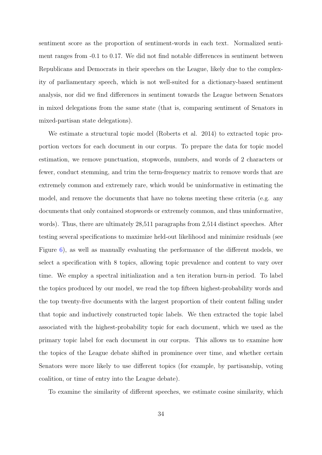sentiment score as the proportion of sentiment-words in each text. Normalized sentiment ranges from -0.1 to 0.17. We did not find notable differences in sentiment between Republicans and Democrats in their speeches on the League, likely due to the complexity of parliamentary speech, which is not well-suited for a dictionary-based sentiment analysis, nor did we find differences in sentiment towards the League between Senators in mixed delegations from the same state (that is, comparing sentiment of Senators in mixed-partisan state delegations).

We estimate a structural topic model (Roberts et al. 2014) to extracted topic proportion vectors for each document in our corpus. To prepare the data for topic model estimation, we remove punctuation, stopwords, numbers, and words of 2 characters or fewer, conduct stemming, and trim the term-frequency matrix to remove words that are extremely common and extremely rare, which would be uninformative in estimating the model, and remove the documents that have no tokens meeting these criteria (e.g. any documents that only contained stopwords or extremely common, and thus uninformative, words). Thus, there are ultimately 28,511 paragraphs from 2,514 distinct speeches. After testing several specifications to maximize held-out likelihood and minimize residuals (see Figure [6\)](#page-35-0), as well as manually evaluating the performance of the different models, we select a specification with 8 topics, allowing topic prevalence and content to vary over time. We employ a spectral initialization and a ten iteration burn-in period. To label the topics produced by our model, we read the top fifteen highest-probability words and the top twenty-five documents with the largest proportion of their content falling under that topic and inductively constructed topic labels. We then extracted the topic label associated with the highest-probability topic for each document, which we used as the primary topic label for each document in our corpus. This allows us to examine how the topics of the League debate shifted in prominence over time, and whether certain Senators were more likely to use different topics (for example, by partisanship, voting coalition, or time of entry into the League debate).

To examine the similarity of different speeches, we estimate cosine similarity, which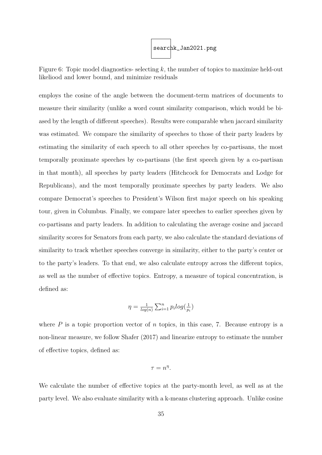

<span id="page-35-0"></span>Figure 6: Topic model diagnostics- selecting  $k$ , the number of topics to maximize held-out likeliood and lower bound, and minimize residuals

employs the cosine of the angle between the document-term matrices of documents to measure their similarity (unlike a word count similarity comparison, which would be biased by the length of different speeches). Results were comparable when jaccard similarity was estimated. We compare the similarity of speeches to those of their party leaders by estimating the similarity of each speech to all other speeches by co-partisans, the most temporally proximate speeches by co-partisans (the first speech given by a co-partisan in that month), all speeches by party leaders (Hitchcock for Democrats and Lodge for Republicans), and the most temporally proximate speeches by party leaders. We also compare Democrat's speeches to President's Wilson first major speech on his speaking tour, given in Columbus. Finally, we compare later speeches to earlier speeches given by co-partisans and party leaders. In addition to calculating the average cosine and jaccard similarity scores for Senators from each party, we also calculate the standard deviations of similarity to track whether speeches converge in similarity, either to the party's center or to the party's leaders. To that end, we also calculate entropy across the different topics, as well as the number of effective topics. Entropy, a measure of topical concentration, is defined as:

$$
\eta = \frac{1}{\log(n)} \sum_{i=1}^{n} p_i \log(\frac{1}{p_i})
$$

where P is a topic proportion vector of n topics, in this case, 7. Because entropy is a non-linear measure, we follow Shafer (2017) and linearize entropy to estimate the number of effective topics, defined as:

$$
\tau=n^{\eta}.
$$

We calculate the number of effective topics at the party-month level, as well as at the party level. We also evaluate similarity with a k-means clustering approach. Unlike cosine